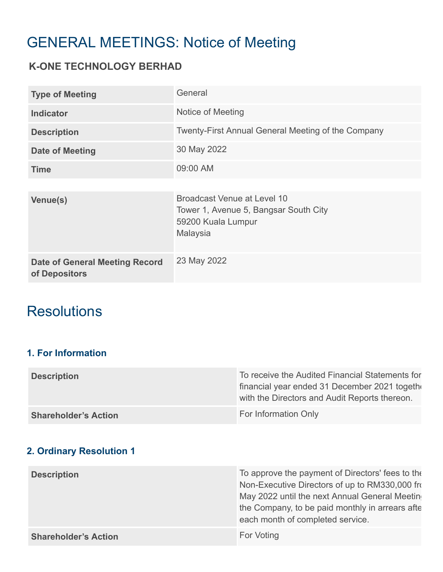# GENERAL MEETINGS: Notice of Meeting

# **K-ONE TECHNOLOGY BERHAD**

| <b>Type of Meeting</b>                                 | General                                                                                                |
|--------------------------------------------------------|--------------------------------------------------------------------------------------------------------|
| <b>Indicator</b>                                       | Notice of Meeting                                                                                      |
| <b>Description</b>                                     | <b>Twenty-First Annual General Meeting of the Company</b>                                              |
| <b>Date of Meeting</b>                                 | 30 May 2022                                                                                            |
| <b>Time</b>                                            | 09:00 AM                                                                                               |
|                                                        |                                                                                                        |
| Venue(s)                                               | Broadcast Venue at Level 10<br>Tower 1, Avenue 5, Bangsar South City<br>59200 Kuala Lumpur<br>Malaysia |
| <b>Date of General Meeting Record</b><br>of Depositors | 23 May 2022                                                                                            |

# **Resolutions**

# **1. For Information**

| <b>Description</b>          | To receive the Audited Financial Statements for<br>financial year ended 31 December 2021 together<br>with the Directors and Audit Reports thereon. |
|-----------------------------|----------------------------------------------------------------------------------------------------------------------------------------------------|
| <b>Shareholder's Action</b> | For Information Only                                                                                                                               |

### **2. Ordinary Resolution 1**

| <b>Description</b>          | To approve the payment of Directors' fees to the<br>Non-Executive Directors of up to RM330,000 from<br>May 2022 until the next Annual General Meeting<br>the Company, to be paid monthly in arrears afte<br>each month of completed service. |
|-----------------------------|----------------------------------------------------------------------------------------------------------------------------------------------------------------------------------------------------------------------------------------------|
| <b>Shareholder's Action</b> | For Voting                                                                                                                                                                                                                                   |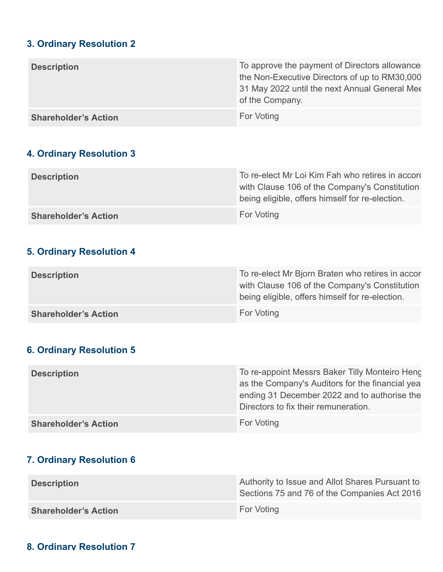#### **3. Ordinary Resolution 2**

| <b>Description</b>          | To approve the payment of Directors allowances<br>the Non-Executive Directors of up to RM30,000<br>31 May 2022 until the next Annual General Mee |
|-----------------------------|--------------------------------------------------------------------------------------------------------------------------------------------------|
|                             | of the Company.                                                                                                                                  |
| <b>Shareholder's Action</b> | For Voting                                                                                                                                       |

### **4. Ordinary Resolution 3**

| <b>Description</b>          | To re-elect Mr Loi Kim Fah who retires in accord<br>with Clause 106 of the Company's Constitution<br>being eligible, offers himself for re-election. |
|-----------------------------|------------------------------------------------------------------------------------------------------------------------------------------------------|
| <b>Shareholder's Action</b> | For Voting                                                                                                                                           |

## **5. Ordinary Resolution 4**

| <b>Description</b>          | To re-elect Mr Bjorn Braten who retires in accor<br>with Clause 106 of the Company's Constitution<br>being eligible, offers himself for re-election. |
|-----------------------------|------------------------------------------------------------------------------------------------------------------------------------------------------|
| <b>Shareholder's Action</b> | For Voting                                                                                                                                           |

#### **6. Ordinary Resolution 5**

| <b>Description</b>          | To re-appoint Messrs Baker Tilly Monteiro Heng<br>as the Company's Auditors for the financial yea<br>ending 31 December 2022 and to authorise the<br>Directors to fix their remuneration. |
|-----------------------------|-------------------------------------------------------------------------------------------------------------------------------------------------------------------------------------------|
| <b>Shareholder's Action</b> | <b>For Voting</b>                                                                                                                                                                         |

#### **7. Ordinary Resolution 6**

| <b>Description</b>          | Authority to Issue and Allot Shares Pursuant to<br>Sections 75 and 76 of the Companies Act 2016 |
|-----------------------------|-------------------------------------------------------------------------------------------------|
| <b>Shareholder's Action</b> | For Voting                                                                                      |

### **8. Ordinary Resolution 7**